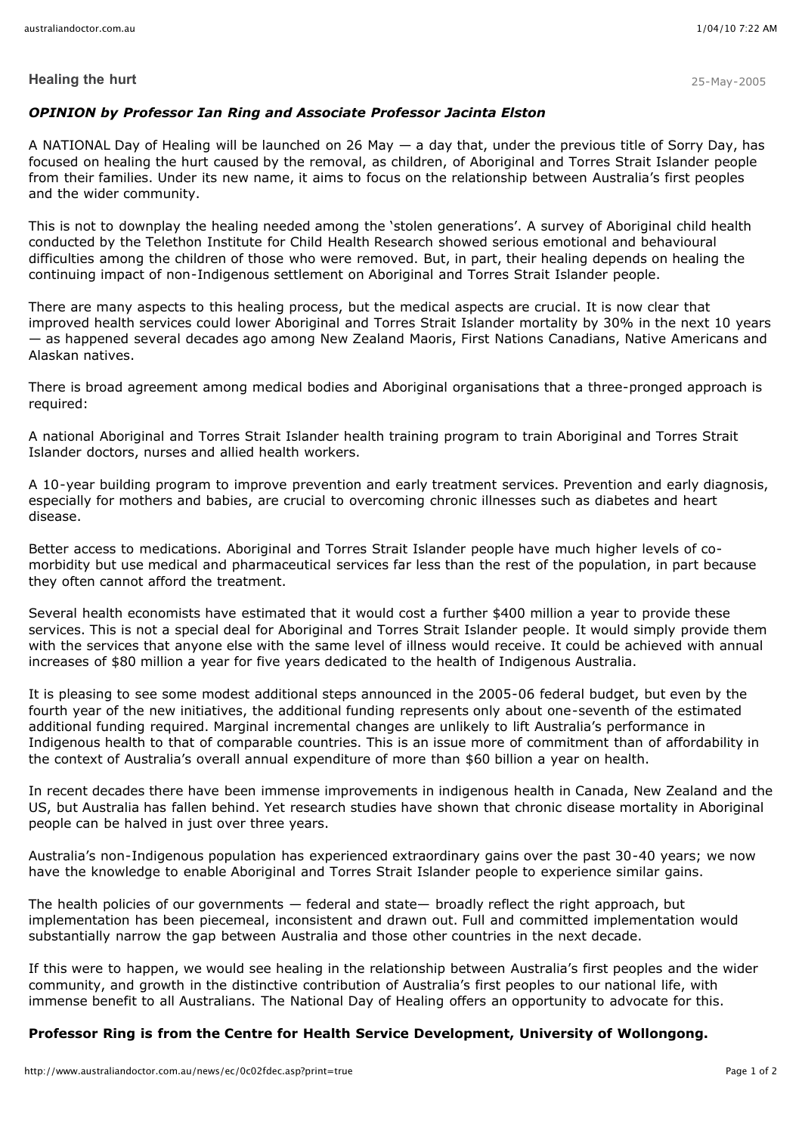### **Healing the hurt** 25-May-2005

## *OPINION by Professor Ian Ring and Associate Professor Jacinta Elston*

A NATIONAL Day of Healing will be launched on 26 May — a day that, under the previous title of Sorry Day, has focused on healing the hurt caused by the removal, as children, of Aboriginal and Torres Strait Islander people from their families. Under its new name, it aims to focus on the relationship between Australia's first peoples and the wider community.

This is not to downplay the healing needed among the 'stolen generations'. A survey of Aboriginal child health conducted by the Telethon Institute for Child Health Research showed serious emotional and behavioural difficulties among the children of those who were removed. But, in part, their healing depends on healing the continuing impact of non-Indigenous settlement on Aboriginal and Torres Strait Islander people.

There are many aspects to this healing process, but the medical aspects are crucial. It is now clear that improved health services could lower Aboriginal and Torres Strait Islander mortality by 30% in the next 10 years — as happened several decades ago among New Zealand Maoris, First Nations Canadians, Native Americans and Alaskan natives.

There is broad agreement among medical bodies and Aboriginal organisations that a three-pronged approach is required:

A national Aboriginal and Torres Strait Islander health training program to train Aboriginal and Torres Strait Islander doctors, nurses and allied health workers.

A 10-year building program to improve prevention and early treatment services. Prevention and early diagnosis, especially for mothers and babies, are crucial to overcoming chronic illnesses such as diabetes and heart disease.

Better access to medications. Aboriginal and Torres Strait Islander people have much higher levels of comorbidity but use medical and pharmaceutical services far less than the rest of the population, in part because they often cannot afford the treatment.

Several health economists have estimated that it would cost a further \$400 million a year to provide these services. This is not a special deal for Aboriginal and Torres Strait Islander people. It would simply provide them with the services that anyone else with the same level of illness would receive. It could be achieved with annual increases of \$80 million a year for five years dedicated to the health of Indigenous Australia.

It is pleasing to see some modest additional steps announced in the 2005-06 federal budget, but even by the fourth year of the new initiatives, the additional funding represents only about one-seventh of the estimated additional funding required. Marginal incremental changes are unlikely to lift Australia's performance in Indigenous health to that of comparable countries. This is an issue more of commitment than of affordability in the context of Australia's overall annual expenditure of more than \$60 billion a year on health.

In recent decades there have been immense improvements in indigenous health in Canada, New Zealand and the US, but Australia has fallen behind. Yet research studies have shown that chronic disease mortality in Aboriginal people can be halved in just over three years.

Australia's non-Indigenous population has experienced extraordinary gains over the past 30-40 years; we now have the knowledge to enable Aboriginal and Torres Strait Islander people to experience similar gains.

The health policies of our governments — federal and state— broadly reflect the right approach, but implementation has been piecemeal, inconsistent and drawn out. Full and committed implementation would substantially narrow the gap between Australia and those other countries in the next decade.

If this were to happen, we would see healing in the relationship between Australia's first peoples and the wider community, and growth in the distinctive contribution of Australia's first peoples to our national life, with immense benefit to all Australians. The National Day of Healing offers an opportunity to advocate for this.

#### **Professor Ring is from the Centre for Health Service Development, University of Wollongong.**